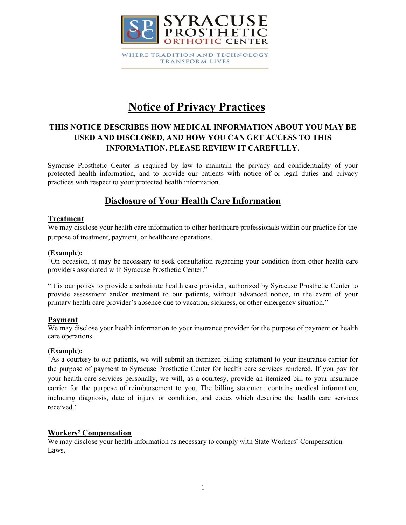

# **Notice of Privacy Practices**

# **THIS NOTICE DESCRIBES HOW MEDICAL INFORMATION ABOUT YOU MAY BE USED AND DISCLOSED, AND HOW YOU CAN GET ACCESS TO THIS INFORMATION. PLEASE REVIEW IT CAREFULLY**.

Syracuse Prosthetic Center is required by law to maintain the privacy and confidentiality of your protected health information, and to provide our patients with notice of or legal duties and privacy practices with respect to your protected health information.

# **Disclosure of Your Health Care Information**

## **Treatment**

We may disclose your health care information to other healthcare professionals within our practice for the purpose of treatment, payment, or healthcare operations.

#### **(Example):**

"On occasion, it may be necessary to seek consultation regarding your condition from other health care providers associated with Syracuse Prosthetic Center."

"It is our policy to provide a substitute health care provider, authorized by Syracuse Prosthetic Center to provide assessment and/or treatment to our patients, without advanced notice, in the event of your primary health care provider's absence due to vacation, sickness, or other emergency situation."

#### **Payment**

We may disclose your health information to your insurance provider for the purpose of payment or health care operations.

#### **(Example):**

"As a courtesy to our patients, we will submit an itemized billing statement to your insurance carrier for the purpose of payment to Syracuse Prosthetic Center for health care services rendered. If you pay for your health care services personally, we will, as a courtesy, provide an itemized bill to your insurance carrier for the purpose of reimbursement to you. The billing statement contains medical information, including diagnosis, date of injury or condition, and codes which describe the health care services received."

## **Workers' Compensation**

We may disclose your health information as necessary to comply with State Workers' Compensation Laws.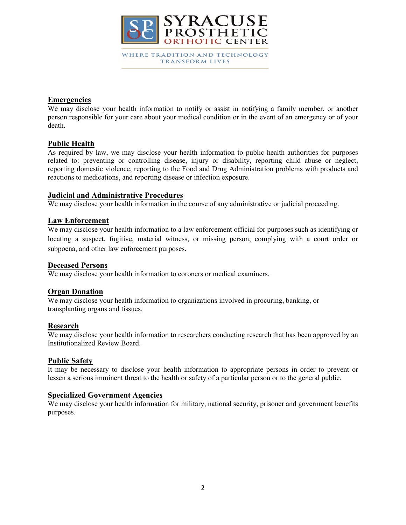

### **Emergencies**

We may disclose your health information to notify or assist in notifying a family member, or another person responsible for your care about your medical condition or in the event of an emergency or of your death.

## **Public Health**

As required by law, we may disclose your health information to public health authorities for purposes related to: preventing or controlling disease, injury or disability, reporting child abuse or neglect, reporting domestic violence, reporting to the Food and Drug Administration problems with products and reactions to medications, and reporting disease or infection exposure.

#### **Judicial and Administrative Procedures**

We may disclose your health information in the course of any administrative or judicial proceeding.

#### **Law Enforcement**

We may disclose your health information to a law enforcement official for purposes such as identifying or locating a suspect, fugitive, material witness, or missing person, complying with a court order or subpoena, and other law enforcement purposes.

#### **Deceased Persons**

We may disclose your health information to coroners or medical examiners.

## **Organ Donation**

We may disclose your health information to organizations involved in procuring, banking, or transplanting organs and tissues.

#### **Research**

We may disclose your health information to researchers conducting research that has been approved by an Institutionalized Review Board.

#### **Public Safety**

It may be necessary to disclose your health information to appropriate persons in order to prevent or lessen a serious imminent threat to the health or safety of a particular person or to the general public.

# **Specialized Government Agencies**

We may disclose your health information for military, national security, prisoner and government benefits purposes.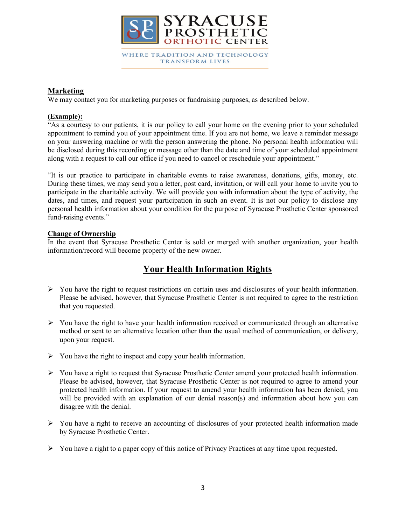

### **Marketing**

We may contact you for marketing purposes or fundraising purposes, as described below.

#### **(Example):**

"As a courtesy to our patients, it is our policy to call your home on the evening prior to your scheduled appointment to remind you of your appointment time. If you are not home, we leave a reminder message on your answering machine or with the person answering the phone. No personal health information will be disclosed during this recording or message other than the date and time of your scheduled appointment along with a request to call our office if you need to cancel or reschedule your appointment."

"It is our practice to participate in charitable events to raise awareness, donations, gifts, money, etc. During these times, we may send you a letter, post card, invitation, or will call your home to invite you to participate in the charitable activity. We will provide you with information about the type of activity, the dates, and times, and request your participation in such an event. It is not our policy to disclose any personal health information about your condition for the purpose of Syracuse Prosthetic Center sponsored fund-raising events."

#### **Change of Ownership**

In the event that Syracuse Prosthetic Center is sold or merged with another organization, your health information/record will become property of the new owner.

# **Your Health Information Rights**

- $\triangleright$  You have the right to request restrictions on certain uses and disclosures of your health information. Please be advised, however, that Syracuse Prosthetic Center is not required to agree to the restriction that you requested.
- $\triangleright$  You have the right to have your health information received or communicated through an alternative method or sent to an alternative location other than the usual method of communication, or delivery, upon your request.
- $\triangleright$  You have the right to inspect and copy your health information.
- $\triangleright$  You have a right to request that Syracuse Prosthetic Center amend your protected health information. Please be advised, however, that Syracuse Prosthetic Center is not required to agree to amend your protected health information. If your request to amend your health information has been denied, you will be provided with an explanation of our denial reason(s) and information about how you can disagree with the denial.
- $\triangleright$  You have a right to receive an accounting of disclosures of your protected health information made by Syracuse Prosthetic Center.
- You have a right to a paper copy of this notice of Privacy Practices at any time upon requested.